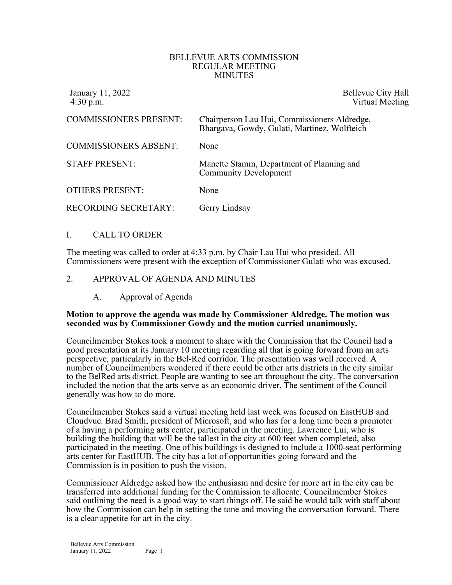#### BELLEVUE ARTS COMMISSION REGULAR MEETING MINUTES

| January 11, 2022<br>$4:30$ p.m. | Bellevue City Hall<br>Virtual Meeting                                                        |
|---------------------------------|----------------------------------------------------------------------------------------------|
| <b>COMMISSIONERS PRESENT:</b>   | Chairperson Lau Hui, Commissioners Aldredge,<br>Bhargava, Gowdy, Gulati, Martinez, Wolfteich |
| <b>COMMISSIONERS ABSENT:</b>    | None                                                                                         |
| <b>STAFF PRESENT:</b>           | Manette Stamm, Department of Planning and<br><b>Community Development</b>                    |
| <b>OTHERS PRESENT:</b>          | None                                                                                         |
| RECORDING SECRETARY:            | Gerry Lindsay                                                                                |

### I. CALL TO ORDER

The meeting was called to order at 4:33 p.m. by Chair Lau Hui who presided. All Commissioners were present with the exception of Commissioner Gulati who was excused.

### 2. APPROVAL OF AGENDA AND MINUTES

A. Approval of Agenda

#### **Motion to approve the agenda was made by Commissioner Aldredge. The motion was seconded was by Commissioner Gowdy and the motion carried unanimously.**

Councilmember Stokes took a moment to share with the Commission that the Council had a good presentation at its January 10 meeting regarding all that is going forward from an arts perspective, particularly in the Bel-Red corridor. The presentation was well received. A number of Councilmembers wondered if there could be other arts districts in the city similar to the BelRed arts district. People are wanting to see art throughout the city. The conversation included the notion that the arts serve as an economic driver. The sentiment of the Council generally was how to do more.

Councilmember Stokes said a virtual meeting held last week was focused on EastHUB and Cloudvue. Brad Smith, president of Microsoft, and who has for a long time been a promoter of a having a performing arts center, participated in the meeting. Lawrence Lui, who is building the building that will be the tallest in the city at 600 feet when completed, also participated in the meeting. One of his buildings is designed to include a 1000-seat performing arts center for EastHUB. The city has a lot of opportunities going forward and the Commission is in position to push the vision.

Commissioner Aldredge asked how the enthusiasm and desire for more art in the city can be transferred into additional funding for the Commission to allocate. Councilmember Stokes said outlining the need is a good way to start things off. He said he would talk with staff about how the Commission can help in setting the tone and moving the conversation forward. There is a clear appetite for art in the city.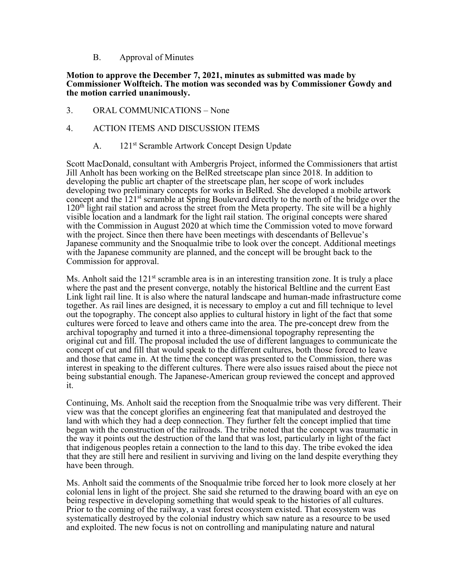B. Approval of Minutes

### **Motion to approve the December 7, 2021, minutes as submitted was made by Commissioner Wolfteich. The motion was seconded was by Commissioner Gowdy and the motion carried unanimously.**

3. ORAL COMMUNICATIONS – None

## 4. ACTION ITEMS AND DISCUSSION ITEMS

A. 121<sup>st</sup> Scramble Artwork Concept Design Update

Scott MacDonald, consultant with Ambergris Project, informed the Commissioners that artist Jill Anholt has been working on the BelRed streetscape plan since 2018. In addition to developing the public art chapter of the streetscape plan, her scope of work includes developing two preliminary concepts for works in BelRed. She developed a mobile artwork concept and the 121<sup>st</sup> scramble at Spring Boulevard directly to the north of the bridge over the 120<sup>th</sup> light rail station and across the street from the Meta property. The site will be a highly visible location and a landmark for the light rail station. The original concepts were shared with the Commission in August 2020 at which time the Commission voted to move forward with the project. Since then there have been meetings with descendants of Bellevue's Japanese community and the Snoqualmie tribe to look over the concept. Additional meetings with the Japanese community are planned, and the concept will be brought back to the Commission for approval.

Ms. Anholt said the 121<sup>st</sup> scramble area is in an interesting transition zone. It is truly a place where the past and the present converge, notably the historical Beltline and the current East Link light rail line. It is also where the natural landscape and human-made infrastructure come together. As rail lines are designed, it is necessary to employ a cut and fill technique to level out the topography. The concept also applies to cultural history in light of the fact that some cultures were forced to leave and others came into the area. The pre-concept drew from the archival topography and turned it into a three-dimensional topography representing the original cut and fill. The proposal included the use of different languages to communicate the concept of cut and fill that would speak to the different cultures, both those forced to leave and those that came in. At the time the concept was presented to the Commission, there was interest in speaking to the different cultures. There were also issues raised about the piece not being substantial enough. The Japanese-American group reviewed the concept and approved it.

Continuing, Ms. Anholt said the reception from the Snoqualmie tribe was very different. Their view was that the concept glorifies an engineering feat that manipulated and destroyed the land with which they had a deep connection. They further felt the concept implied that time began with the construction of the railroads. The tribe noted that the concept was traumatic in the way it points out the destruction of the land that was lost, particularly in light of the fact that indigenous peoples retain a connection to the land to this day. The tribe evoked the idea that they are still here and resilient in surviving and living on the land despite everything they have been through.

Ms. Anholt said the comments of the Snoqualmie tribe forced her to look more closely at her colonial lens in light of the project. She said she returned to the drawing board with an eye on being respective in developing something that would speak to the histories of all cultures. Prior to the coming of the railway, a vast forest ecosystem existed. That ecosystem was systematically destroyed by the colonial industry which saw nature as a resource to be used and exploited. The new focus is not on controlling and manipulating nature and natural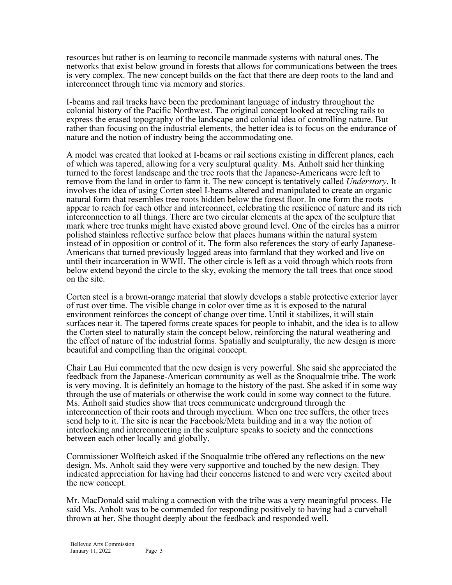resources but rather is on learning to reconcile manmade systems with natural ones. The networks that exist below ground in forests that allows for communications between the trees is very complex. The new concept builds on the fact that there are deep roots to the land and interconnect through time via memory and stories.

I-beams and rail tracks have been the predominant language of industry throughout the colonial history of the Pacific Northwest. The original concept looked at recycling rails to express the erased topography of the landscape and colonial idea of controlling nature. But rather than focusing on the industrial elements, the better idea is to focus on the endurance of nature and the notion of industry being the accommodating one.

A model was created that looked at I-beams or rail sections existing in different planes, each of which was tapered, allowing for a very sculptural quality. Ms. Anholt said her thinking turned to the forest landscape and the tree roots that the Japanese-Americans were left to remove from the land in order to farm it. The new concept is tentatively called *Understory*. It involves the idea of using Corten steel I-beams altered and manipulated to create an organic natural form that resembles tree roots hidden below the forest floor. In one form the roots appear to reach for each other and interconnect, celebrating the resilience of nature and its rich interconnection to all things. There are two circular elements at the apex of the sculpture that mark where tree trunks might have existed above ground level. One of the circles has a mirror polished stainless reflective surface below that places humans within the natural system instead of in opposition or control of it. The form also references the story of early Japanese- Americans that turned previously logged areas into farmland that they worked and live on until their incarceration in WWII. The other circle is left as a void through which roots from below extend beyond the circle to the sky, evoking the memory the tall trees that once stood on the site.

Corten steel is a brown-orange material that slowly develops a stable protective exterior layer of rust over time. The visible change in color over time as it is exposed to the natural environment reinforces the concept of change over time. Until it stabilizes, it will stain surfaces near it. The tapered forms create spaces for people to inhabit, and the idea is to allow the Corten steel to naturally stain the concept below, reinforcing the natural weathering and the effect of nature of the industrial forms. Spatially and sculpturally, the new design is more beautiful and compelling than the original concept.

Chair Lau Hui commented that the new design is very powerful. She said she appreciated the feedback from the Japanese-American community as well as the Snoqualmie tribe. The work is very moving. It is definitely an homage to the history of the past. She asked if in some way through the use of materials or otherwise the work could in some way connect to the future. Ms. Anholt said studies show that trees communicate underground through the interconnection of their roots and through mycelium. When one tree suffers, the other trees send help to it. The site is near the Facebook/Meta building and in a way the notion of interlocking and interconnecting in the sculpture speaks to society and the connections between each other locally and globally.

Commissioner Wolfteich asked if the Snoqualmie tribe offered any reflections on the new design. Ms. Anholt said they were very supportive and touched by the new design. They indicated appreciation for having had their concerns listened to and were very excited about the new concept.

Mr. MacDonald said making a connection with the tribe was a very meaningful process. He said Ms. Anholt was to be commended for responding positively to having had a curveball thrown at her. She thought deeply about the feedback and responded well.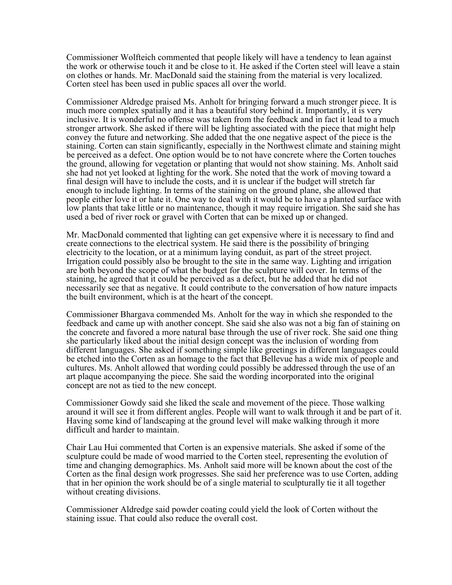Commissioner Wolfteich commented that people likely will have a tendency to lean against the work or otherwise touch it and be close to it. He asked if the Corten steel will leave a stain on clothes or hands. Mr. MacDonald said the staining from the material is very localized. Corten steel has been used in public spaces all over the world.

Commissioner Aldredge praised Ms. Anholt for bringing forward a much stronger piece. It is much more complex spatially and it has a beautiful story behind it. Importantly, it is very inclusive. It is wonderful no offense was taken from the feedback and in fact it lead to a much stronger artwork. She asked if there will be lighting associated with the piece that might help convey the future and networking. She added that the one negative aspect of the piece is the staining. Corten can stain significantly, especially in the Northwest climate and staining might be perceived as a defect. One option would be to not have concrete where the Corten touches the ground, allowing for vegetation or planting that would not show staining. Ms. Anholt said she had not yet looked at lighting for the work. She noted that the work of moving toward a final design will have to include the costs, and it is unclear if the budget will stretch far enough to include lighting. In terms of the staining on the ground plane, she allowed that people either love it or hate it. One way to deal with it would be to have a planted surface with low plants that take little or no maintenance, though it may require irrigation. She said she has used a bed of river rock or gravel with Corten that can be mixed up or changed.

Mr. MacDonald commented that lighting can get expensive where it is necessary to find and create connections to the electrical system. He said there is the possibility of bringing electricity to the location, or at a minimum laying conduit, as part of the street project. Irrigation could possibly also be brought to the site in the same way. Lighting and irrigation are both beyond the scope of what the budget for the sculpture will cover. In terms of the staining, he agreed that it could be perceived as a defect, but he added that he did not necessarily see that as negative. It could contribute to the conversation of how nature impacts the built environment, which is at the heart of the concept.

Commissioner Bhargava commended Ms. Anholt for the way in which she responded to the feedback and came up with another concept. She said she also was not a big fan of staining on the concrete and favored a more natural base through the use of river rock. She said one thing she particularly liked about the initial design concept was the inclusion of wording from different languages. She asked if something simple like greetings in different languages could be etched into the Corten as an homage to the fact that Bellevue has a wide mix of people and cultures. Ms. Anholt allowed that wording could possibly be addressed through the use of an art plaque accompanying the piece. She said the wording incorporated into the original concept are not as tied to the new concept.

Commissioner Gowdy said she liked the scale and movement of the piece. Those walking around it will see it from different angles. People will want to walk through it and be part of it. Having some kind of landscaping at the ground level will make walking through it more difficult and harder to maintain.

Chair Lau Hui commented that Corten is an expensive materials. She asked if some of the sculpture could be made of wood married to the Corten steel, representing the evolution of time and changing demographics. Ms. Anholt said more will be known about the cost of the Corten as the final design work progresses. She said her preference was to use Corten, adding that in her opinion the work should be of a single material to sculpturally tie it all together without creating divisions.

Commissioner Aldredge said powder coating could yield the look of Corten without the staining issue. That could also reduce the overall cost.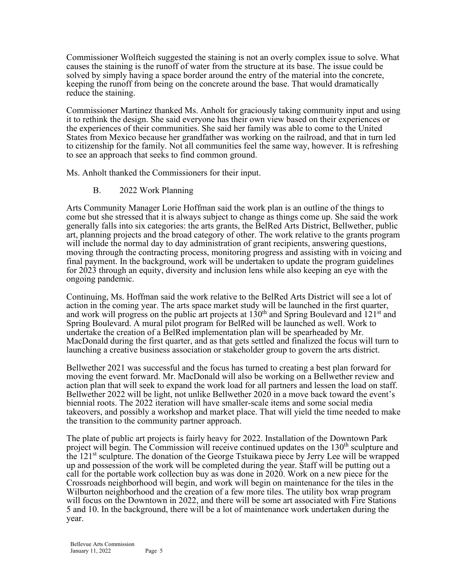Commissioner Wolfteich suggested the staining is not an overly complex issue to solve. What causes the staining is the runoff of water from the structure at its base. The issue could be solved by simply having a space border around the entry of the material into the concrete, keeping the runoff from being on the concrete around the base. That would dramatically reduce the staining.

Commissioner Martinez thanked Ms. Anholt for graciously taking community input and using it to rethink the design. She said everyone has their own view based on their experiences or the experiences of their communities. She said her family was able to come to the United States from Mexico because her grandfather was working on the railroad, and that in turn led to citizenship for the family. Not all communities feel the same way, however. It is refreshing to see an approach that seeks to find common ground.

Ms. Anholt thanked the Commissioners for their input.

B. 2022 Work Planning

Arts Community Manager Lorie Hoffman said the work plan is an outline of the things to come but she stressed that it is always subject to change as things come up. She said the work generally falls into six categories: the arts grants, the BelRed Arts District, Bellwether, public art, planning projects and the broad category of other. The work relative to the grants program will include the normal day to day administration of grant recipients, answering questions, moving through the contracting process, monitoring progress and assisting with in voicing and final payment. In the background, work will be undertaken to update the program guidelines for 2023 through an equity, diversity and inclusion lens while also keeping an eye with the ongoing pandemic.

Continuing, Ms. Hoffman said the work relative to the BelRed Arts District will see a lot of action in the coming year. The arts space market study will be launched in the first quarter, and work will progress on the public art projects at  $130<sup>th</sup>$  and Spring Boulevard and  $121<sup>st</sup>$  and Spring Boulevard. A mural pilot program for BelRed will be launched as well. Work to undertake the creation of a BelRed implementation plan will be spearheaded by Mr. MacDonald during the first quarter, and as that gets settled and finalized the focus will turn to launching a creative business association or stakeholder group to govern the arts district.

Bellwether 2021 was successful and the focus has turned to creating a best plan forward for moving the event forward. Mr. MacDonald will also be working on a Bellwether review and action plan that will seek to expand the work load for all partners and lessen the load on staff. Bellwether 2022 will be light, not unlike Bellwether 2020 in a move back toward the event's biennial roots. The 2022 iteration will have smaller-scale items and some social media takeovers, and possibly a workshop and market place. That will yield the time needed to make the transition to the community partner approach.

The plate of public art projects is fairly heavy for 2022. Installation of the Downtown Park project will begin. The Commission will receive continued updates on the  $130<sup>th</sup>$  sculpture and the  $121<sup>st</sup>$  sculpture. The donation of the George Tstuikawa piece by Jerry Lee will be wrapped up and possession of the work will be completed during the year. Staff will be putting out a call for the portable work collection buy as was done in 2020. Work on a new piece for the Crossroads neighborhood will begin, and work will begin on maintenance for the tiles in the Wilburton neighborhood and the creation of a few more tiles. The utility box wrap program will focus on the Downtown in 2022, and there will be some art associated with Fire Stations 5 and 10. In the background, there will be a lot of maintenance work undertaken during the year.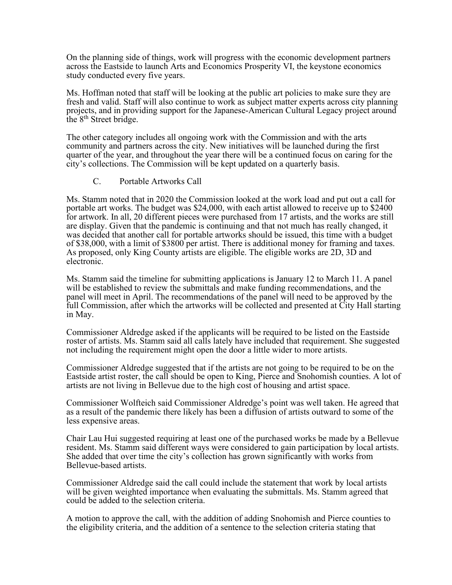On the planning side of things, work will progress with the economic development partners across the Eastside to launch Arts and Economics Prosperity VI, the keystone economics study conducted every five years.

Ms. Hoffman noted that staff will be looking at the public art policies to make sure they are fresh and valid. Staff will also continue to work as subject matter experts across city planning projects, and in providing support for the Japanese-American Cultural Legacy project around the  $8<sup>th</sup>$  Street bridge.

The other category includes all ongoing work with the Commission and with the arts community and partners across the city. New initiatives will be launched during the first quarter of the year, and throughout the year there will be a continued focus on caring for the city's collections. The Commission will be kept updated on a quarterly basis.

### C. Portable Artworks Call

Ms. Stamm noted that in 2020 the Commission looked at the work load and put out a call for portable art works. The budget was \$24,000, with each artist allowed to receive up to \$2400 for artwork. In all, 20 different pieces were purchased from 17 artists, and the works are still are display. Given that the pandemic is continuing and that not much has really changed, it was decided that another call for portable artworks should be issued, this time with a budget of \$38,000, with a limit of \$3800 per artist. There is additional money for framing and taxes. As proposed, only King County artists are eligible. The eligible works are 2D, 3D and electronic.

Ms. Stamm said the timeline for submitting applications is January 12 to March 11. A panel will be established to review the submittals and make funding recommendations, and the panel will meet in April. The recommendations of the panel will need to be approved by the full Commission, after which the artworks will be collected and presented at City Hall starting in May.

Commissioner Aldredge asked if the applicants will be required to be listed on the Eastside roster of artists. Ms. Stamm said all calls lately have included that requirement. She suggested not including the requirement might open the door a little wider to more artists.

Commissioner Aldredge suggested that if the artists are not going to be required to be on the Eastside artist roster, the call should be open to King, Pierce and Snohomish counties. A lot of artists are not living in Bellevue due to the high cost of housing and artist space.

Commissioner Wolfteich said Commissioner Aldredge's point was well taken. He agreed that as a result of the pandemic there likely has been a diffusion of artists outward to some of the less expensive areas.

Chair Lau Hui suggested requiring at least one of the purchased works be made by a Bellevue resident. Ms. Stamm said different ways were considered to gain participation by local artists. She added that over time the city's collection has grown significantly with works from Bellevue-based artists.

Commissioner Aldredge said the call could include the statement that work by local artists will be given weighted importance when evaluating the submittals. Ms. Stamm agreed that could be added to the selection criteria.

A motion to approve the call, with the addition of adding Snohomish and Pierce counties to the eligibility criteria, and the addition of a sentence to the selection criteria stating that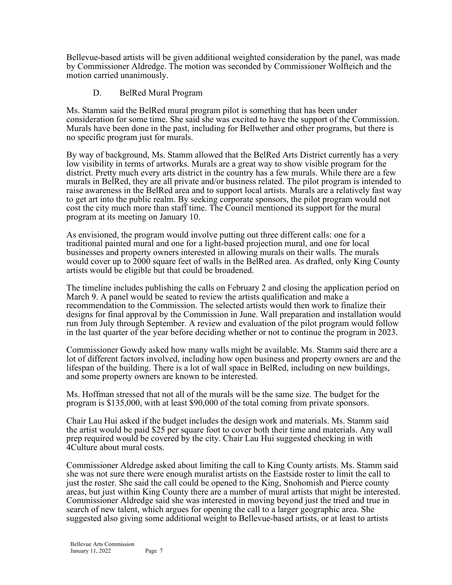Bellevue-based artists will be given additional weighted consideration by the panel, was made by Commissioner Aldredge. The motion was seconded by Commissioner Wolfteich and the motion carried unanimously.

# D. BelRed Mural Program

Ms. Stamm said the BelRed mural program pilot is something that has been under consideration for some time. She said she was excited to have the support of the Commission. Murals have been done in the past, including for Bellwether and other programs, but there is no specific program just for murals.

By way of background, Ms. Stamm allowed that the BelRed Arts District currently has a very low visibility in terms of artworks. Murals are a great way to show visible program for the district. Pretty much every arts district in the country has a few murals. While there are a few murals in BelRed, they are all private and/or business related. The pilot program is intended to raise awareness in the BelRed area and to support local artists. Murals are a relatively fast way to get art into the public realm. By seeking corporate sponsors, the pilot program would not cost the city much more than staff time. The Council mentioned its support for the mural program at its meeting on January 10.

As envisioned, the program would involve putting out three different calls: one for a traditional painted mural and one for a light-based projection mural, and one for local businesses and property owners interested in allowing murals on their walls. The murals would cover up to 2000 square feet of walls in the BelRed area. As drafted, only King County artists would be eligible but that could be broadened.

The timeline includes publishing the calls on February 2 and closing the application period on March 9. A panel would be seated to review the artists qualification and make a recommendation to the Commission. The selected artists would then work to finalize their designs for final approval by the Commission in June. Wall preparation and installation would run from July through September. A review and evaluation of the pilot program would follow in the last quarter of the year before deciding whether or not to continue the program in 2023.

Commissioner Gowdy asked how many walls might be available. Ms. Stamm said there are a lot of different factors involved, including how open business and property owners are and the lifespan of the building. There is a lot of wall space in BelRed, including on new buildings, and some property owners are known to be interested.

Ms. Hoffman stressed that not all of the murals will be the same size. The budget for the program is \$135,000, with at least \$90,000 of the total coming from private sponsors.

Chair Lau Hui asked if the budget includes the design work and materials. Ms. Stamm said the artist would be paid \$25 per square foot to cover both their time and materials. Any wall prep required would be covered by the city. Chair Lau Hui suggested checking in with 4Culture about mural costs.

Commissioner Aldredge asked about limiting the call to King County artists. Ms. Stamm said she was not sure there were enough muralist artists on the Eastside roster to limit the call to just the roster. She said the call could be opened to the King, Snohomish and Pierce county areas, but just within King County there are a number of mural artists that might be interested. Commissioner Aldredge said she was interested in moving beyond just the tried and true in search of new talent, which argues for opening the call to a larger geographic area. She suggested also giving some additional weight to Bellevue-based artists, or at least to artists